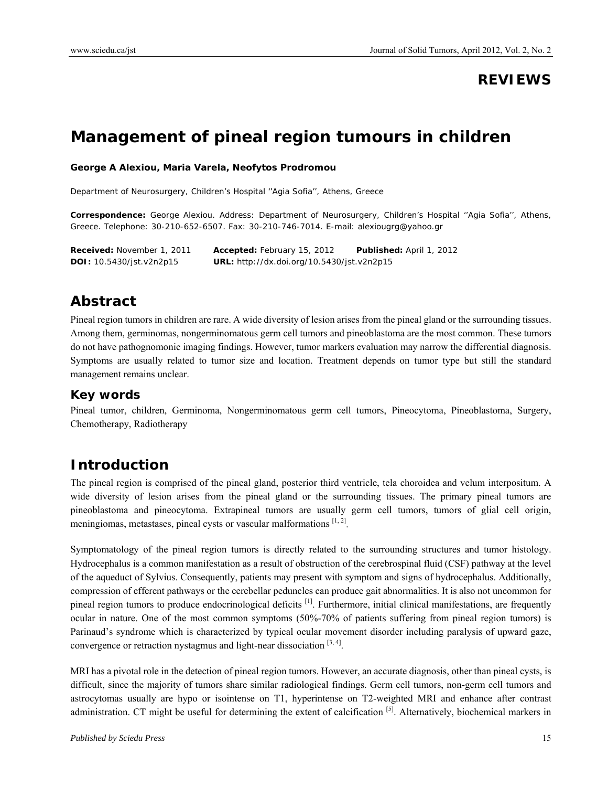### **REVIEWS**

# **Management of pineal region tumours in children**

#### **George A Alexiou, Maria Varela, Neofytos Prodromou**

Department of Neurosurgery, Children's Hospital ''Agia Sofia'', Athens, Greece

**Correspondence:** George Alexiou. Address: Department of Neurosurgery, Children's Hospital ''Agia Sofia'', Athens, Greece. Telephone: 30-210-652-6507. Fax: 30-210-746-7014. E-mail: alexiougrg@yahoo.gr

**Received:** November 1, 2011 **Accepted:** February 15, 2012 **Published:** April 1, 2012 **DOI:** 10.5430/jst.v2n2p15 **URL:** http://dx.doi.org/10.5430/jst.v2n2p15

### **Abstract**

Pineal region tumors in children are rare. A wide diversity of lesion arises from the pineal gland or the surrounding tissues. Among them, germinomas, nongerminomatous germ cell tumors and pineoblastoma are the most common. These tumors do not have pathognomonic imaging findings. However, tumor markers evaluation may narrow the differential diagnosis. Symptoms are usually related to tumor size and location. Treatment depends on tumor type but still the standard management remains unclear.

#### **Key words**

Pineal tumor, children, Germinoma, Nongerminomatous germ cell tumors, Pineocytoma, Pineoblastoma, Surgery, Chemotherapy, Radiotherapy

### **Introduction**

The pineal region is comprised of the pineal gland, posterior third ventricle, tela choroidea and velum interpositum. A wide diversity of lesion arises from the pineal gland or the surrounding tissues. The primary pineal tumors are pineoblastoma and pineocytoma. Extrapineal tumors are usually germ cell tumors, tumors of glial cell origin, meningiomas, metastases, pineal cysts or vascular malformations [1,2].

Symptomatology of the pineal region tumors is directly related to the surrounding structures and tumor histology. Hydrocephalus is a common manifestation as a result of obstruction of the cerebrospinal fluid (CSF) pathway at the level of the aqueduct of Sylvius. Consequently, patients may present with symptom and signs of hydrocephalus. Additionally, compression of efferent pathways or the cerebellar peduncles can produce gait abnormalities. It is also not uncommon for pineal region tumors to produce endocrinological deficits  $^{[1]}$ . Furthermore, initial clinical manifestations, are frequently ocular in nature. One of the most common symptoms (50%-70% of patients suffering from pineal region tumors) is Parinaud's syndrome which is characterized by typical ocular movement disorder including paralysis of upward gaze, convergence or retraction nystagmus and light-near dissociation  $[3, 4]$ .

MRI has a pivotal role in the detection of pineal region tumors. However, an accurate diagnosis, other than pineal cysts, is difficult, since the majority of tumors share similar radiological findings. Germ cell tumors, non-germ cell tumors and astrocytomas usually are hypo or isointense on T1, hyperintense on T2-weighted MRI and enhance after contrast administration. CT might be useful for determining the extent of calcification [5]. Alternatively, biochemical markers in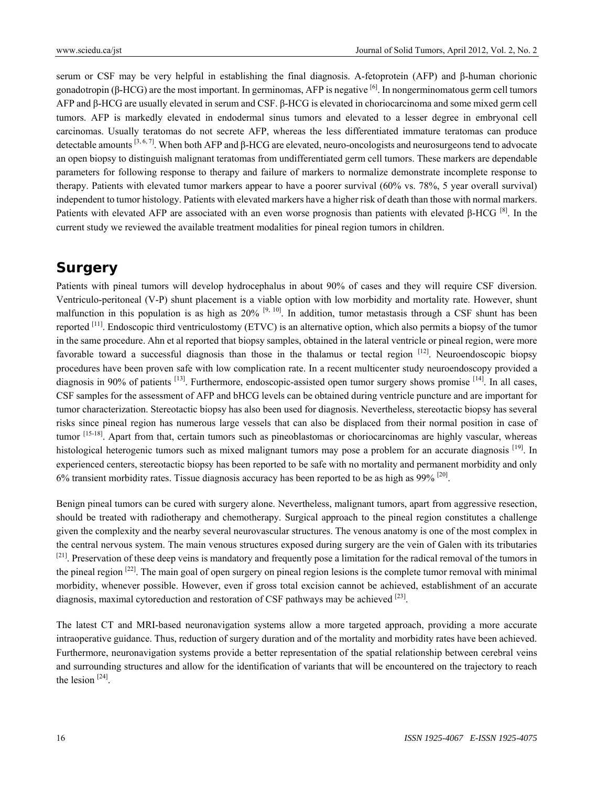serum or CSF may be very helpful in establishing the final diagnosis. A-fetoprotein (AFP) and β-human chorionic gonadotropin (β-HCG) are the most important. In germinomas, AFP is negative  $\left[6\right]$ . In nongerminomatous germ cell tumors AFP and β-HCG are usually elevated in serum and CSF. β-HCG is elevated in choriocarcinoma and some mixed germ cell tumors. AFP is markedly elevated in endodermal sinus tumors and elevated to a lesser degree in embryonal cell carcinomas. Usually teratomas do not secrete AFP, whereas the less differentiated immature teratomas can produce detectable amounts [3, 6, 7]. When both AFP and β-HCG are elevated, neuro-oncologists and neurosurgeons tend to advocate an open biopsy to distinguish malignant teratomas from undifferentiated germ cell tumors. These markers are dependable parameters for following response to therapy and failure of markers to normalize demonstrate incomplete response to therapy. Patients with elevated tumor markers appear to have a poorer survival (60% vs. 78%, 5 year overall survival) independent to tumor histology. Patients with elevated markers have a higher risk of death than those with normal markers. Patients with elevated AFP are associated with an even worse prognosis than patients with elevated β-HCG [8]. In the current study we reviewed the available treatment modalities for pineal region tumors in children.

### **Surgery**

Patients with pineal tumors will develop hydrocephalus in about 90% of cases and they will require CSF diversion. Ventriculo-peritoneal (V-P) shunt placement is a viable option with low morbidity and mortality rate. However, shunt malfunction in this population is as high as  $20\%$  <sup>[9, 10]</sup>. In addition, tumor metastasis through a CSF shunt has been reported  $[11]$ . Endoscopic third ventriculostomy (ETVC) is an alternative option, which also permits a biopsy of the tumor in the same procedure. Ahn et al reported that biopsy samples, obtained in the lateral ventricle or pineal region, were more favorable toward a successful diagnosis than those in the thalamus or tectal region [12]. Neuroendoscopic biopsy procedures have been proven safe with low complication rate. In a recent multicenter study neuroendoscopy provided a diagnosis in 90% of patients  $^{[13]}$ . Furthermore, endoscopic-assisted open tumor surgery shows promise  $^{[14]}$ . In all cases, CSF samples for the assessment of AFP and bHCG levels can be obtained during ventricle puncture and are important for tumor characterization. Stereotactic biopsy has also been used for diagnosis. Nevertheless, stereotactic biopsy has several risks since pineal region has numerous large vessels that can also be displaced from their normal position in case of tumor  $[15-18]$ . Apart from that, certain tumors such as pineoblastomas or choriocarcinomas are highly vascular, whereas histological heterogenic tumors such as mixed malignant tumors may pose a problem for an accurate diagnosis [19]. In experienced centers, stereotactic biopsy has been reported to be safe with no mortality and permanent morbidity and only 6% transient morbidity rates. Tissue diagnosis accuracy has been reported to be as high as  $99\%$ <sup>[20]</sup>.

Benign pineal tumors can be cured with surgery alone. Nevertheless, malignant tumors, apart from aggressive resection, should be treated with radiotherapy and chemotherapy. Surgical approach to the pineal region constitutes a challenge given the complexity and the nearby several neurovascular structures. The venous anatomy is one of the most complex in the central nervous system. The main venous structures exposed during surgery are the vein of Galen with its tributaries <sup>[21]</sup>. Preservation of these deep veins is mandatory and frequently pose a limitation for the radical removal of the tumors in the pineal region  $[22]$ . The main goal of open surgery on pineal region lesions is the complete tumor removal with minimal morbidity, whenever possible. However, even if gross total excision cannot be achieved, establishment of an accurate diagnosis, maximal cytoreduction and restoration of CSF pathways may be achieved  $^{[23]}$ .

The latest CT and MRI-based neuronavigation systems allow a more targeted approach, providing a more accurate intraoperative guidance. Thus, reduction of surgery duration and of the mortality and morbidity rates have been achieved. Furthermore, neuronavigation systems provide a better representation of the spatial relationship between cerebral veins and surrounding structures and allow for the identification of variants that will be encountered on the trajectory to reach the lesion  $[24]$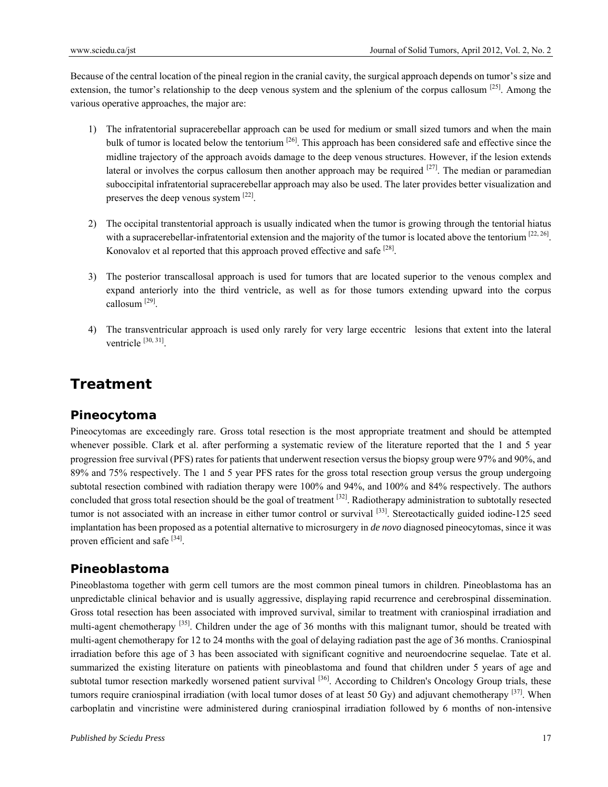Because of the central location of the pineal region in the cranial cavity, the surgical approach depends on tumor's size and extension, the tumor's relationship to the deep venous system and the splenium of the corpus callosum [25]. Among the various operative approaches, the major are:

- 1) The infratentorial supracerebellar approach can be used for medium or small sized tumors and when the main bulk of tumor is located below the tentorium <sup>[26]</sup>. This approach has been considered safe and effective since the midline trajectory of the approach avoids damage to the deep venous structures. However, if the lesion extends lateral or involves the corpus callosum then another approach may be required  $[27]$ . The median or paramedian suboccipital infratentorial supracerebellar approach may also be used. The later provides better visualization and preserves the deep venous system [22].
- 2) The occipital transtentorial approach is usually indicated when the tumor is growing through the tentorial hiatus with a supracerebellar-infratentorial extension and the majority of the tumor is located above the tentorium  $^{[22, 26]}$ . Konovalov et al reported that this approach proved effective and safe [28].
- 3) The posterior transcallosal approach is used for tumors that are located superior to the venous complex and expand anteriorly into the third ventricle, as well as for those tumors extending upward into the corpus callosum [29].
- 4) The transventricular approach is used only rarely for very large eccentric lesions that extent into the lateral ventricle  $[30, 31]$ .

## **Treatment**

### **Pineocytoma**

Pineocytomas are exceedingly rare. Gross total resection is the most appropriate treatment and should be attempted whenever possible. Clark et al. after performing a systematic review of the literature reported that the 1 and 5 year progression free survival (PFS) rates for patients that underwent resection versus the biopsy group were 97% and 90%, and 89% and 75% respectively. The 1 and 5 year PFS rates for the gross total resection group versus the group undergoing subtotal resection combined with radiation therapy were 100% and 94%, and 100% and 84% respectively. The authors concluded that gross total resection should be the goal of treatment  $[32]$ . Radiotherapy administration to subtotally resected tumor is not associated with an increase in either tumor control or survival  $^{[33]}$ . Stereotactically guided iodine-125 seed implantation has been proposed as a potential alternative to microsurgery in *de novo* diagnosed pineocytomas, since it was proven efficient and safe [34].

### **Pineoblastoma**

Pineoblastoma together with germ cell tumors are the most common pineal tumors in children. Pineoblastoma has an unpredictable clinical behavior and is usually aggressive, displaying rapid recurrence and cerebrospinal dissemination. Gross total resection has been associated with improved survival, similar to treatment with craniospinal irradiation and multi-agent chemotherapy  $^{[35]}$ . Children under the age of 36 months with this malignant tumor, should be treated with multi-agent chemotherapy for 12 to 24 months with the goal of delaying radiation past the age of 36 months. Craniospinal irradiation before this age of 3 has been associated with significant cognitive and neuroendocrine sequelae. Tate et al. summarized the existing literature on patients with pineoblastoma and found that children under 5 years of age and subtotal tumor resection markedly worsened patient survival <sup>[36]</sup>. According to Children's Oncology Group trials, these tumors require craniospinal irradiation (with local tumor doses of at least 50 Gy) and adjuvant chemotherapy  $[37]$ . When carboplatin and vincristine were administered during craniospinal irradiation followed by 6 months of non-intensive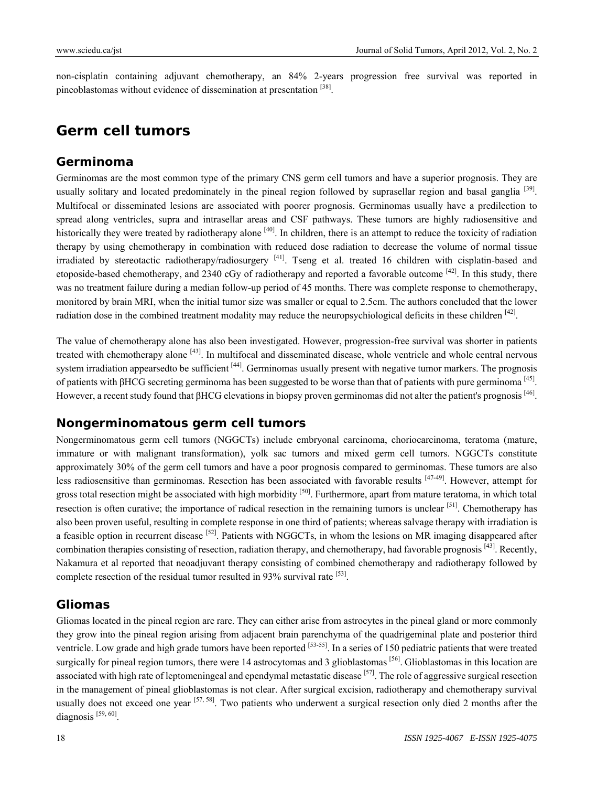non-cisplatin containing adjuvant chemotherapy, an 84% 2-years progression free survival was reported in pineoblastomas without evidence of dissemination at presentation [38].

### **Germ cell tumors**

#### **Germinoma**

Germinomas are the most common type of the primary CNS germ cell tumors and have a superior prognosis. They are usually solitary and located predominately in the pineal region followed by suprasellar region and basal ganglia  $[39]$ . Multifocal or disseminated lesions are associated with poorer prognosis. Germinomas usually have a predilection to spread along ventricles, supra and intrasellar areas and CSF pathways. These tumors are highly radiosensitive and historically they were treated by radiotherapy alone  $[40]$ . In children, there is an attempt to reduce the toxicity of radiation therapy by using chemotherapy in combination with reduced dose radiation to decrease the volume of normal tissue irradiated by stereotactic radiotherapy/radiosurgery [41]. Tseng et al. treated 16 children with cisplatin-based and etoposide-based chemotherapy, and 2340 cGy of radiotherapy and reported a favorable outcome  $^{[42]}$ . In this study, there was no treatment failure during a median follow-up period of 45 months. There was complete response to chemotherapy, monitored by brain MRI, when the initial tumor size was smaller or equal to 2.5cm. The authors concluded that the lower radiation dose in the combined treatment modality may reduce the neuropsychiological deficits in these children  $^{[42]}$ .

The value of chemotherapy alone has also been investigated. However, progression-free survival was shorter in patients treated with chemotherapy alone [43]. In multifocal and disseminated disease, whole ventricle and whole central nervous system irradiation appearsedto be sufficient [44]. Germinomas usually present with negative tumor markers. The prognosis of patients with βHCG secreting germinoma has been suggested to be worse than that of patients with pure germinoma  $[45]$ . However, a recent study found that βHCG elevations in biopsy proven germinomas did not alter the patient's prognosis [46].

#### **Nongerminomatous germ cell tumors**

Nongerminomatous germ cell tumors (NGGCTs) include embryonal carcinoma, choriocarcinoma, teratoma (mature, immature or with malignant transformation), yolk sac tumors and mixed germ cell tumors. NGGCTs constitute approximately 30% of the germ cell tumors and have a poor prognosis compared to germinomas. These tumors are also less radiosensitive than germinomas. Resection has been associated with favorable results [47-49]. However, attempt for gross total resection might be associated with high morbidity <sup>[50]</sup>. Furthermore, apart from mature teratoma, in which total resection is often curative; the importance of radical resection in the remaining tumors is unclear [51]. Chemotherapy has also been proven useful, resulting in complete response in one third of patients; whereas salvage therapy with irradiation is a feasible option in recurrent disease <sup>[52]</sup>. Patients with NGGCTs, in whom the lesions on MR imaging disappeared after combination therapies consisting of resection, radiation therapy, and chemotherapy, had favorable prognosis  $[43]$ . Recently, Nakamura et al reported that neoadjuvant therapy consisting of combined chemotherapy and radiotherapy followed by complete resection of the residual tumor resulted in 93% survival rate  $[53]$ .

### **Gliomas**

Gliomas located in the pineal region are rare. They can either arise from astrocytes in the pineal gland or more commonly they grow into the pineal region arising from adjacent brain parenchyma of the quadrigeminal plate and posterior third ventricle. Low grade and high grade tumors have been reported [53-55]. In a series of 150 pediatric patients that were treated surgically for pineal region tumors, there were 14 astrocytomas and 3 glioblastomas [56]. Glioblastomas in this location are associated with high rate of leptomeningeal and ependymal metastatic disease  $[57]$ . The role of aggressive surgical resection in the management of pineal glioblastomas is not clear. After surgical excision, radiotherapy and chemotherapy survival usually does not exceed one year  $[57, 58]$ . Two patients who underwent a surgical resection only died 2 months after the diagnosis  $[59, 60]$ .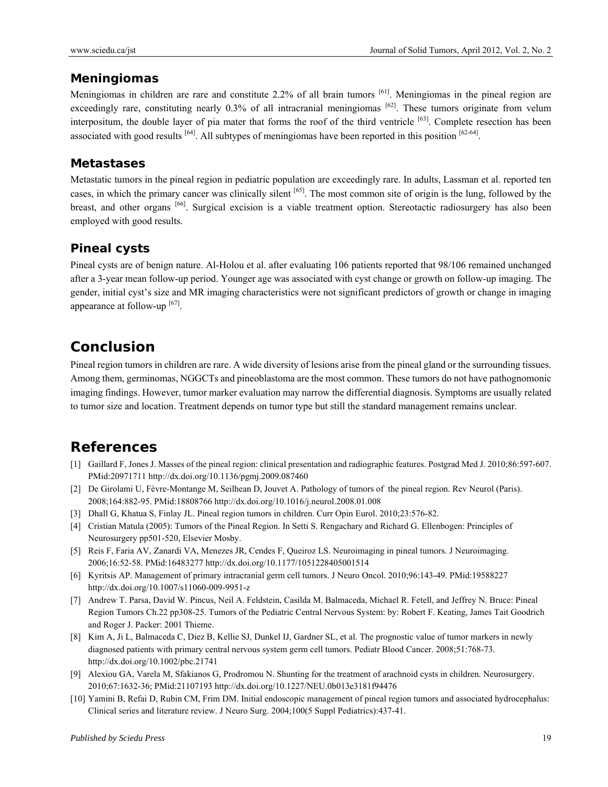#### **Meningiomas**

Meningiomas in children are rare and constitute 2.2% of all brain tumors <sup>[61]</sup>. Meningiomas in the pineal region are exceedingly rare, constituting nearly  $0.3\%$  of all intracranial meningiomas  $[62]$ . These tumors originate from velum interpositum, the double layer of pia mater that forms the roof of the third ventricle  $[63]$ . Complete resection has been associated with good results <sup>[64]</sup>. All subtypes of meningiomas have been reported in this position <sup>[62-64]</sup>.

### **Metastases**

Metastatic tumors in the pineal region in pediatric population are exceedingly rare. In adults, Lassman et al. reported ten cases, in which the primary cancer was clinically silent [65]. The most common site of origin is the lung, followed by the breast, and other organs [66]. Surgical excision is a viable treatment option. Stereotactic radiosurgery has also been employed with good results.

### **Pineal cysts**

Pineal cysts are of benign nature. Al-Holou et al. after evaluating 106 patients reported that 98/106 remained unchanged after a 3-year mean follow-up period. Younger age was associated with cyst change or growth on follow-up imaging. The gender, initial cyst's size and MR imaging characteristics were not significant predictors of growth or change in imaging appearance at follow-up  $[67]$ .

### **Conclusion**

Pineal region tumors in children are rare. A wide diversity of lesions arise from the pineal gland or the surrounding tissues. Among them, germinomas, NGGCTs and pineoblastoma are the most common. These tumors do not have pathognomonic imaging findings. However, tumor marker evaluation may narrow the differential diagnosis. Symptoms are usually related to tumor size and location. Treatment depends on tumor type but still the standard management remains unclear.

### **References**

- [1] Gaillard F, Jones J. Masses of the pineal region: clinical presentation and radiographic features. Postgrad Med J. 2010;86:597-607. PMid:20971711 http://dx.doi.org/10.1136/pgmj.2009.087460
- [2] De Girolami U, Fèvre-Montange M, Seilhean D, Jouvet A. Pathology of tumors of the pineal region. Rev Neurol (Paris). 2008;164:882-95. PMid:18808766 http://dx.doi.org/10.1016/j.neurol.2008.01.008
- [3] Dhall G, Khatua S, Finlay JL. Pineal region tumors in children. Curr Opin Eurol. 2010;23:576-82.
- [4] Cristian Matula (2005): Tumors of the Pineal Region. In Setti S. Rengachary and Richard G. Ellenbogen: Principles of Neurosurgery pp501-520, Elsevier Mosby.
- [5] Reis F, Faria AV, Zanardi VA, Menezes JR, Cendes F, Queiroz LS. Neuroimaging in pineal tumors. J Neuroimaging. 2006;16:52-58. PMid:16483277 http://dx.doi.org/10.1177/1051228405001514
- [6] Kyritsis AP. Management of primary intracranial germ cell tumors. J Neuro Oncol. 2010;96:143-49. PMid:19588227 http://dx.doi.org/10.1007/s11060-009-9951-z
- [7] Andrew T. Parsa, David W. Pincus, Neil A. Feldstein, Casilda M. Balmaceda, Michael R. Fetell, and Jeffrey N. Bruce: Pineal Region Tumors Ch.22 pp308-25. Tumors of the Pediatric Central Nervous System: by: Robert F. Keating, James Tait Goodrich and Roger J. Packer: 2001 Thieme.
- [8] Kim A, Ji L, Balmaceda C, Diez B, Kellie SJ, Dunkel IJ, Gardner SL, et al. The prognostic value of tumor markers in newly diagnosed patients with primary central nervous system germ cell tumors. Pediatr Blood Cancer. 2008;51:768-73. http://dx.doi.org/10.1002/pbc.21741
- [9] Alexiou GA, Varela M, Sfakianos G, Prodromou N. Shunting for the treatment of arachnoid cysts in children. Neurosurgery. 2010;67:1632-36; PMid:21107193 http://dx.doi.org/10.1227/NEU.0b013e3181f94476
- [10] Yamini B, Refai D, Rubin CM, Frim DM. Initial endoscopic management of pineal region tumors and associated hydrocephalus: Clinical series and literature review. J Neuro Surg. 2004;100(5 Suppl Pediatrics):437-41.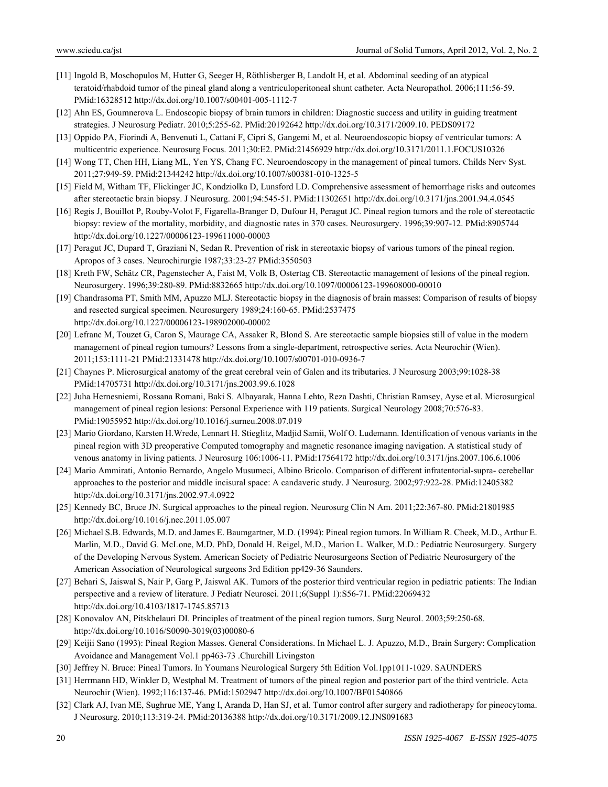- [11] Ingold B, Moschopulos M, Hutter G, Seeger H, Röthlisberger B, Landolt H, et al. Abdominal seeding of an atypical teratoid/rhabdoid tumor of the pineal gland along a ventriculoperitoneal shunt catheter. Acta Neuropathol. 2006;111:56-59. PMid:16328512 http://dx.doi.org/10.1007/s00401-005-1112-7
- [12] Ahn ES, Goumnerova L. Endoscopic biopsy of brain tumors in children: Diagnostic success and utility in guiding treatment strategies. J Neurosurg Pediatr. 2010;5:255-62. PMid:20192642 http://dx.doi.org/10.3171/2009.10. PEDS09172
- [13] Oppido PA, Fiorindi A, Benvenuti L, Cattani F, Cipri S, Gangemi M, et al. Neuroendoscopic biopsy of ventricular tumors: A multicentric experience. Neurosurg Focus. 2011;30:E2. PMid:21456929 http://dx.doi.org/10.3171/2011.1.FOCUS10326
- [14] Wong TT, Chen HH, Liang ML, Yen YS, Chang FC. Neuroendoscopy in the management of pineal tumors. Childs Nerv Syst. 2011;27:949-59. PMid:21344242 http://dx.doi.org/10.1007/s00381-010-1325-5
- [15] Field M, Witham TF, Flickinger JC, Kondziolka D, Lunsford LD. Comprehensive assessment of hemorrhage risks and outcomes after stereotactic brain biopsy. J Neurosurg. 2001;94:545-51. PMid:11302651 http://dx.doi.org/10.3171/jns.2001.94.4.0545
- [16] Regis J, Bouillot P, Rouby-Volot F, Figarella-Branger D, Dufour H, Peragut JC. Pineal region tumors and the role of stereotactic biopsy: review of the mortality, morbidity, and diagnostic rates in 370 cases. Neurosurgery. 1996;39:907-12. PMid:8905744 http://dx.doi.org/10.1227/00006123-199611000-00003
- [17] Peragut JC, Dupard T, Graziani N, Sedan R. Prevention of risk in stereotaxic biopsy of various tumors of the pineal region. Apropos of 3 cases. Neurochirurgie 1987;33:23-27 PMid:3550503
- [18] Kreth FW, Schätz CR, Pagenstecher A, Faist M, Volk B, Ostertag CB. Stereotactic management of lesions of the pineal region. Neurosurgery. 1996;39:280-89. PMid:8832665 http://dx.doi.org/10.1097/00006123-199608000-00010
- [19] Chandrasoma PT, Smith MM, Apuzzo MLJ. Stereotactic biopsy in the diagnosis of brain masses: Comparison of results of biopsy and resected surgical specimen. Neurosurgery 1989;24:160-65. PMid:2537475 http://dx.doi.org/10.1227/00006123-198902000-00002
- [20] Lefranc M, Touzet G, Caron S, Maurage CA, Assaker R, Blond S. Are stereotactic sample biopsies still of value in the modern management of pineal region tumours? Lessons from a single-department, retrospective series. Acta Neurochir (Wien). 2011;153:1111-21 PMid:21331478 http://dx.doi.org/10.1007/s00701-010-0936-7
- [21] Chaynes P. Microsurgical anatomy of the great cerebral vein of Galen and its tributaries. J Neurosurg 2003;99:1028-38 PMid:14705731 http://dx.doi.org/10.3171/jns.2003.99.6.1028
- [22] Juha Hernesniemi, Rossana Romani, Baki S. Albayarak, Hanna Lehto, Reza Dashti, Christian Ramsey, Ayse et al. Microsurgical management of pineal region lesions: Personal Experience with 119 patients. Surgical Neurology 2008;70:576-83. PMid:19055952 http://dx.doi.org/10.1016/j.surneu.2008.07.019
- [23] Mario Giordano, Karsten H.Wrede, Lennart H. Stieglitz, Madjid Samii, Wolf O. Ludemann. Identification of venous variants in the pineal region with 3D preoperative Computed tomography and magnetic resonance imaging navigation. A statistical study of venous anatomy in living patients. J Neurosurg 106:1006-11. PMid:17564172 http://dx.doi.org/10.3171/jns.2007.106.6.1006
- [24] Mario Ammirati, Antonio Bernardo, Angelo Musumeci, Albino Bricolo. Comparison of different infratentorial-supra- cerebellar approaches to the posterior and middle incisural space: A candaveric study. J Neurosurg. 2002;97:922-28. PMid:12405382 http://dx.doi.org/10.3171/jns.2002.97.4.0922
- [25] Kennedy BC, Bruce JN. Surgical approaches to the pineal region. Neurosurg Clin N Am. 2011;22:367-80. PMid:21801985 http://dx.doi.org/10.1016/j.nec.2011.05.007
- [26] Michael S.B. Edwards, M.D. and James E. Baumgartner, M.D. (1994): Pineal region tumors. In William R. Cheek, M.D., Arthur E. Marlin, M.D., David G. McLone, M.D. PhD, Donald H. Reigel, M.D., Marion L. Walker, M.D.: Pediatric Neurosurgery. Surgery of the Developing Nervous System. American Society of Pediatric Neurosurgeons Section of Pediatric Neurosurgery of the American Association of Neurological surgeons 3rd Edition pp429-36 Saunders.
- [27] Behari S, Jaiswal S, Nair P, Garg P, Jaiswal AK. Tumors of the posterior third ventricular region in pediatric patients: The Indian perspective and a review of literature. J Pediatr Neurosci. 2011;6(Suppl 1):S56-71. PMid:22069432 http://dx.doi.org/10.4103/1817-1745.85713
- [28] Konovalov AN, Pitskhelauri DI. Principles of treatment of the pineal region tumors. Surg Neurol. 2003;59:250-68. http://dx.doi.org/10.1016/S0090-3019(03)00080-6
- [29] Keijii Sano (1993): Pineal Region Masses. General Considerations. In Michael L. J. Apuzzo, M.D., Brain Surgery: Complication Avoidance and Management Vol.1 pp463-73 .Churchill Livingston
- [30] Jeffrey N. Bruce: Pineal Tumors. In Youmans Neurological Surgery 5th Edition Vol.1pp1011-1029. SAUNDERS
- [31] Herrmann HD, Winkler D, Westphal M. Treatment of tumors of the pineal region and posterior part of the third ventricle. Acta Neurochir (Wien). 1992;116:137-46. PMid:1502947 http://dx.doi.org/10.1007/BF01540866
- [32] Clark AJ, Ivan ME, Sughrue ME, Yang I, Aranda D, Han SJ, et al. Tumor control after surgery and radiotherapy for pineocytoma. J Neurosurg. 2010;113:319-24. PMid:20136388 http://dx.doi.org/10.3171/2009.12.JNS091683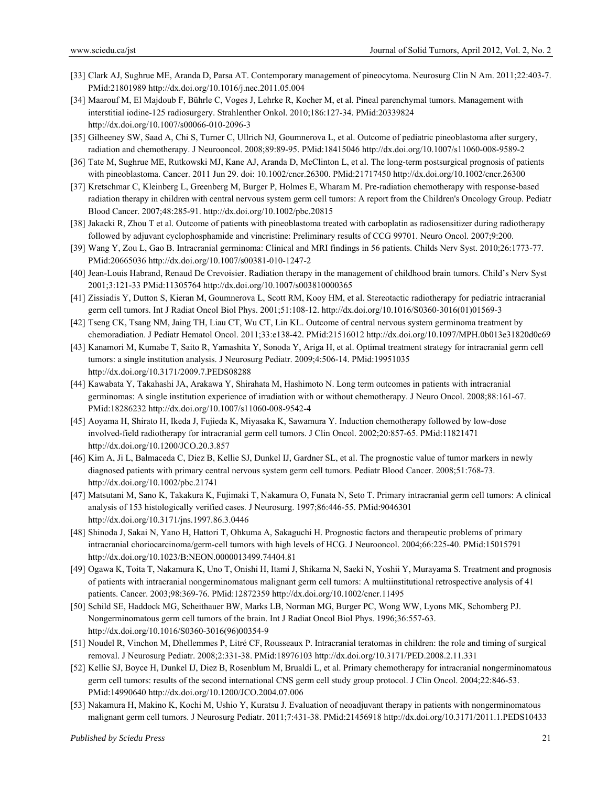- [33] Clark AJ, Sughrue ME, Aranda D, Parsa AT. Contemporary management of pineocytoma. Neurosurg Clin N Am. 2011;22:403-7. PMid:21801989 http://dx.doi.org/10.1016/j.nec.2011.05.004
- [34] Maarouf M, El Majdoub F, Bührle C, Voges J, Lehrke R, Kocher M, et al. Pineal parenchymal tumors. Management with interstitial iodine-125 radiosurgery. Strahlenther Onkol. 2010;186:127-34. PMid:20339824 http://dx.doi.org/10.1007/s00066-010-2096-3
- [35] Gilheeney SW, Saad A, Chi S, Turner C, Ullrich NJ, Goumnerova L, et al. Outcome of pediatric pineoblastoma after surgery, radiation and chemotherapy. J Neurooncol. 2008;89:89-95. PMid:18415046 http://dx.doi.org/10.1007/s11060-008-9589-2
- [36] Tate M, Sughrue ME, Rutkowski MJ, Kane AJ, Aranda D, McClinton L, et al. The long-term postsurgical prognosis of patients with pineoblastoma. Cancer. 2011 Jun 29. doi: 10.1002/cncr.26300. PMid:21717450 http://dx.doi.org/10.1002/cncr.26300
- [37] Kretschmar C, Kleinberg L, Greenberg M, Burger P, Holmes E, Wharam M. Pre-radiation chemotherapy with response-based radiation therapy in children with central nervous system germ cell tumors: A report from the Children's Oncology Group. Pediatr Blood Cancer. 2007;48:285-91. http://dx.doi.org/10.1002/pbc.20815
- [38] Jakacki R, Zhou T et al. Outcome of patients with pineoblastoma treated with carboplatin as radiosensitizer during radiotherapy followed by adjuvant cyclophosphamide and vincristine: Preliminary results of CCG 99701. Neuro Oncol. 2007;9:200.
- [39] Wang Y, Zou L, Gao B. Intracranial germinoma: Clinical and MRI findings in 56 patients. Childs Nerv Syst. 2010;26:1773-77. PMid:20665036 http://dx.doi.org/10.1007/s00381-010-1247-2
- [40] Jean-Louis Habrand, Renaud De Crevoisier. Radiation therapy in the management of childhood brain tumors. Child's Nerv Syst 2001;3:121-33 PMid:11305764 http://dx.doi.org/10.1007/s003810000365
- [41] Zissiadis Y, Dutton S, Kieran M, Goumnerova L, Scott RM, Kooy HM, et al. Stereotactic radiotherapy for pediatric intracranial germ cell tumors. Int J Radiat Oncol Biol Phys. 2001;51:108-12. http://dx.doi.org/10.1016/S0360-3016(01)01569-3
- [42] Tseng CK, Tsang NM, Jaing TH, Liau CT, Wu CT, Lin KL. Outcome of central nervous system germinoma treatment by chemoradiation. J Pediatr Hematol Oncol. 2011;33:e138-42. PMid:21516012 http://dx.doi.org/10.1097/MPH.0b013e31820d0c69
- [43] Kanamori M, Kumabe T, Saito R, Yamashita Y, Sonoda Y, Ariga H, et al. Optimal treatment strategy for intracranial germ cell tumors: a single institution analysis. J Neurosurg Pediatr. 2009;4:506-14. PMid:19951035 http://dx.doi.org/10.3171/2009.7.PEDS08288
- [44] Kawabata Y, Takahashi JA, Arakawa Y, Shirahata M, Hashimoto N. Long term outcomes in patients with intracranial germinomas: A single institution experience of irradiation with or without chemotherapy. J Neuro Oncol. 2008;88:161-67. PMid:18286232 http://dx.doi.org/10.1007/s11060-008-9542-4
- [45] Aoyama H, Shirato H, Ikeda J, Fujieda K, Miyasaka K, Sawamura Y. Induction chemotherapy followed by low-dose involved-field radiotherapy for intracranial germ cell tumors. J Clin Oncol. 2002;20:857-65. PMid:11821471 http://dx.doi.org/10.1200/JCO.20.3.857
- [46] Kim A, Ji L, Balmaceda C, Diez B, Kellie SJ, Dunkel IJ, Gardner SL, et al. The prognostic value of tumor markers in newly diagnosed patients with primary central nervous system germ cell tumors. Pediatr Blood Cancer. 2008;51:768-73. http://dx.doi.org/10.1002/pbc.21741
- [47] Matsutani M, Sano K, Takakura K, Fujimaki T, Nakamura O, Funata N, Seto T. Primary intracranial germ cell tumors: A clinical analysis of 153 histologically verified cases. J Neurosurg. 1997;86:446-55. PMid:9046301 http://dx.doi.org/10.3171/jns.1997.86.3.0446
- [48] Shinoda J, Sakai N, Yano H, Hattori T, Ohkuma A, Sakaguchi H. Prognostic factors and therapeutic problems of primary intracranial choriocarcinoma/germ-cell tumors with high levels of HCG. J Neurooncol. 2004;66:225-40. PMid:15015791 http://dx.doi.org/10.1023/B:NEON.0000013499.74404.81
- [49] Ogawa K, Toita T, Nakamura K, Uno T, Onishi H, Itami J, Shikama N, Saeki N, Yoshii Y, Murayama S. Treatment and prognosis of patients with intracranial nongerminomatous malignant germ cell tumors: A multiinstitutional retrospective analysis of 41 patients. Cancer. 2003;98:369-76. PMid:12872359 http://dx.doi.org/10.1002/cncr.11495
- [50] Schild SE, Haddock MG, Scheithauer BW, Marks LB, Norman MG, Burger PC, Wong WW, Lyons MK, Schomberg PJ. Nongerminomatous germ cell tumors of the brain. Int J Radiat Oncol Biol Phys. 1996;36:557-63. http://dx.doi.org/10.1016/S0360-3016(96)00354-9
- [51] Noudel R, Vinchon M, Dhellemmes P, Litré CF, Rousseaux P. Intracranial teratomas in children: the role and timing of surgical removal. J Neurosurg Pediatr. 2008;2:331-38. PMid:18976103 http://dx.doi.org/10.3171/PED.2008.2.11.331
- [52] Kellie SJ, Boyce H, Dunkel IJ, Diez B, Rosenblum M, Brualdi L, et al. Primary chemotherapy for intracranial nongerminomatous germ cell tumors: results of the second international CNS germ cell study group protocol. J Clin Oncol. 2004;22:846-53. PMid:14990640 http://dx.doi.org/10.1200/JCO.2004.07.006
- [53] Nakamura H, Makino K, Kochi M, Ushio Y, Kuratsu J. Evaluation of neoadjuvant therapy in patients with nongerminomatous malignant germ cell tumors. J Neurosurg Pediatr. 2011;7:431-38. PMid:21456918 http://dx.doi.org/10.3171/2011.1.PEDS10433